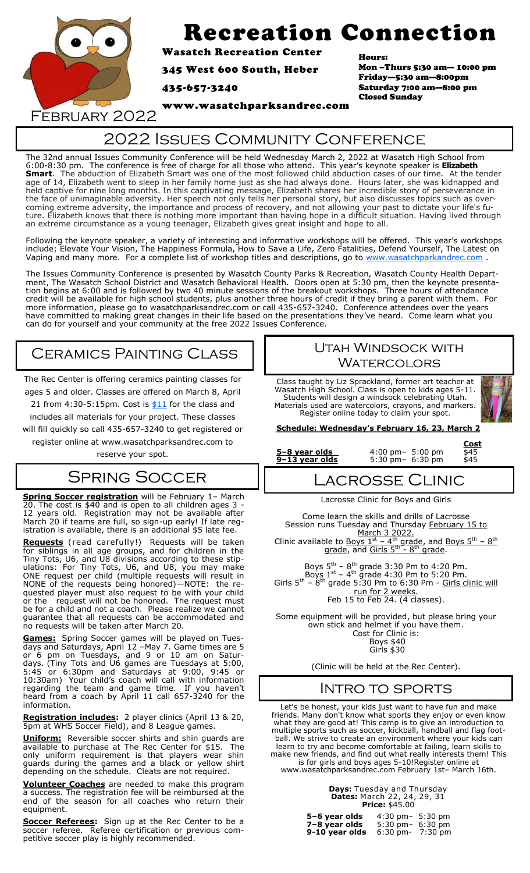

# Recreation Connection

Wasatch Recreation Center

345 West 600 South, Heber

435-657-3240

Hours: Mon –Thurs 5:30 am— 10:00 pm Friday—5:30 am—8:00pm Saturday 7:00 am—8:00 pm Closed Sunday

February 2022

## 2022 Issues Community Conference

www.wasatchparksandrec.com

The 32nd annual Issues Community Conference will be held Wednesday March 2, 2022 at Wasatch High School from 6:00-8:30 pm. The conference is free of charge for all those who attend. This year's keynote speaker is **Elizabeth Smart**. The abduction of Elizabeth Smart was one of the most followed child abduction cases of our time. At the tender age of 14, Elizabeth went to sleep in her family home just as she had always done. Hours later, she was kidnapped and held captive for nine long months. In this captivating message, Elizabeth shares her incredible story of perseverance in the face of unimaginable adversity. Her speech not only tells her personal story, but also discusses topics such as overcoming extreme adversity, the importance and process of recovery, and not allowing your past to dictate your life's future. Elizabeth knows that there is nothing more important than having hope in a difficult situation. Having lived through an extreme circumstance as a young teenager, Elizabeth gives great insight and hope to all.

Following the keynote speaker, a variety of interesting and informative workshops will be offered. This year's workshops include; Elevate Your Vision, The Happiness Formula, How to Save a Life, Zero Fatalities, Defend Yourself, The Latest on Vaping and many more. For a complete list of workshop titles and descriptions, go to [www.wasatchparkandrec.com](http://www.wasatchparkandrec.com).

The Issues Community Conference is presented by Wasatch County Parks & Recreation, Wasatch County Health Department, The Wasatch School District and Wasatch Behavioral Health. Doors open at 5:30 pm, then the keynote presentation begins at 6:00 and is followed by two 40 minute sessions of the breakout workshops. Three hours of attendance credit will be available for high school students, plus another three hours of credit if they bring a parent with them. For more information, please go to wasatchparksandrec.com or call 435-657-3240. Conference attendees over the years have committed to making great changes in their life based on the presentations they've heard. Come learn what you can do for yourself and your community at the free 2022 Issues Conference.

## Ceramics Painting Class

The Rec Center is offering ceramics painting classes for ages 5 and older. Classes are offered on March 8, April 21 from 4:30-5:15pm. Cost is  $$11$  for the class and includes all materials for your project. These classes will fill quickly so call 435-657-3240 to get registered or

register online at www.wasatchparksandrec.com to reserve your spot.

## SPRING SOCCER

**Spring Soccer registration** will be February 1– March 20. The cost is \$40 and is open to all children ages 3 - 12 years old. Registration may not be available after March 20 if teams are full, so sign-up early! If late registration is available, there is an additional \$5 late fee.

**Requests** (read carefully!) Requests will be taken for siblings in all age groups, and for children in the Tiny Tots, U6, and U8 divisions according to these stipulations: For Tiny Tots, U6, and U8, you may make ONE request per child (multiple requests will result in NONE of the requests being honored)—NOTE: the requested player must also request to be with your child or the request will not be honored. The request must be for a child and not a coach. Please realize we cannot guarantee that all requests can be accommodated and no requests will be taken after March 20.

**Games:** Spring Soccer games will be played on Tuesdays and Saturdays, April 12 –May 7. Game times are 5 or 6 pm on Tuesdays, and 9 or 10 am on Saturdays. (Tiny Tots and U6 games are Tuesdays at 5:00, 5:45 or 6:30pm and Saturdays at 9:00, 9:45 or 10:30am) Your child's coach will call with information regarding the team and game time. If you haven't heard from a coach by April 11 call 657-3240 for the information.

**Registration includes:** 2 player clinics (April 13 & 20, 5pm at WHS Soccer Field), and 8 League games.

**Uniform:** Reversible soccer shirts and shin guards are available to purchase at The Rec Center for \$15. The only uniform requirement is that players wear shin guards during the games and a black or yellow shirt depending on the schedule. Cleats are not required.

**Volunteer Coaches** are needed to make this program a success. The registration fee will be reimbursed at the end of the season for all coaches who return their equipment.

**Soccer Referees:** Sign up at the Rec Center to be a soccer referee. Referee certification or previous competitive soccer play is highly recommended.

#### Utah Windsock with **WATERCOLORS**

Class taught by Liz Sprackland, former art teacher at Wasatch High School. Class is open to kids ages 5-11. Students will design a windsock celebrating Utah. Materials used are watercolors, crayons, and markers. Register online today to claim your spot.



#### **Schedule: Wednesday's February 16, 23, March 2**

**5-8 year olds** 4:00 pm - 5:00 pm -  $\frac{5-8}{345}$ <br>**9-13 year olds** 5:30 pm - 6:30 pm - \$45

**<u>Cost</u><br>4:00 pm - 5:00 pm - \$45 9–13 year olds** 5:30 pm– 6:30 pm \$45

## Lacrosse Clinic

Lacrosse Clinic for Boys and Girls

Come learn the skills and drills of Lacrosse Session runs Tuesday and Thursday February 15 to March 3 2022.

Clinic available to Boys  $1^{st}$  – 4<sup>th</sup> grade, and Boys  $5^{th}$  –  $8^{th}$ grade, and Girls 5<sup>th</sup> - 8<sup>th</sup> grade.

Boys  $5^{th}$  –  $8^{th}$  grade 3:30 Pm to 4:20 Pm. Boys  $1^\text{st}$  – 4<sup>th</sup> grade 4:30 Pm to 5:20 Pm. Girls  $5<sup>th</sup>$  –  $8<sup>th</sup>$  grade 5:30 Pm to 6:30 Pm - Girls clinic will run for 2 weeks. Feb 15 to Feb 24. (4 classes).

Some equipment will be provided, but please bring your own stick and helmet if you have them. Cost for Clinic is: Boys \$40 Girls \$30

(Clinic will be held at the Rec Center).

### Intro to sports

Let's be honest, your kids just want to have fun and make friends. Many don't know what sports they enjoy or even know what they are good at! This camp is to give an introduction to multiple sports such as soccer, kickball, handball and flag football. We strive to create an environment where your kids can learn to try and become comfortable at failing, learn skills to make new friends, and find out what really interests them! This is for girls and boys ages 5-10!Register online at www.wasatchparksandrec.com February 1st– March 16th.

| <b>Days:</b> Tuesday and Thursday  |
|------------------------------------|
| <b>Dates:</b> March 22, 24, 29, 31 |
| <b>Price: \$45.00</b>              |

| 5-6 year olds  | $4:30 \text{ pm} - 5:30 \text{ pm}$ |                   |
|----------------|-------------------------------------|-------------------|
|                |                                     |                   |
| 7–8 year olds  | $5:30$ pm-                          | $6:30 \text{ pm}$ |
| 9-10 year olds | $6:30$ pm-                          | $7:30 \text{ pm}$ |